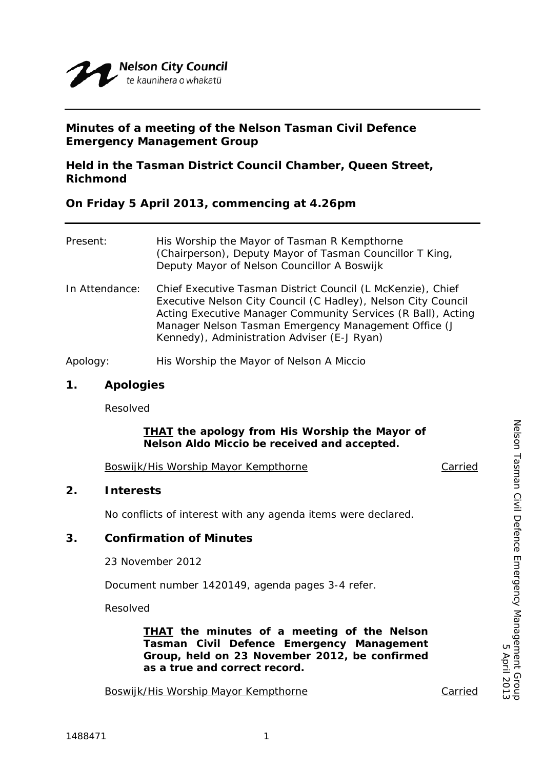

# **Minutes of a meeting of the Nelson Tasman Civil Defence Emergency Management Group**

# **Held in the Tasman District Council Chamber, Queen Street, Richmond**

**On Friday 5 April 2013, commencing at 4.26pm** 

| Present:       | His Worship the Mayor of Tasman R Kempthorne<br>(Chairperson), Deputy Mayor of Tasman Councillor T King,<br>Deputy Mayor of Nelson Councillor A Boswijk                                                                                                                                             |
|----------------|-----------------------------------------------------------------------------------------------------------------------------------------------------------------------------------------------------------------------------------------------------------------------------------------------------|
| In Attendance: | Chief Executive Tasman District Council (L McKenzie), Chief<br>Executive Nelson City Council (C Hadley), Nelson City Council<br>Acting Executive Manager Community Services (R Ball), Acting<br>Manager Nelson Tasman Emergency Management Office (J<br>Kennedy), Administration Adviser (E-J Ryan) |
| Apology:       | His Worship the Mayor of Nelson A Miccio                                                                                                                                                                                                                                                            |

#### **1. Apologies**

Resolved

## *THAT the apology from His Worship the Mayor of Nelson Aldo Miccio be received and accepted.*

Boswijk/His Worship Mayor Kempthorne Carried

## **2. Interests**

No conflicts of interest with any agenda items were declared.

## **3. Confirmation of Minutes**

23 November 2012

Document number 1420149, agenda pages 3-4 refer.

Resolved

*THAT the minutes of a meeting of the Nelson Tasman Civil Defence Emergency Management Group, held on 23 November 2012, be confirmed as a true and correct record.* 

Boswijk/His Worship Mayor Kempthorne Carried